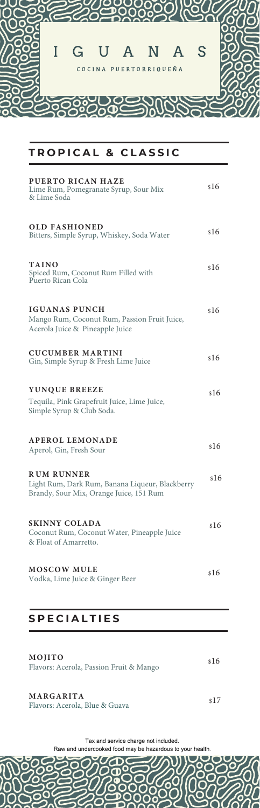

# TROPICAL & CLASSIC

| PUERTO RICAN HAZE<br>Lime Rum, Pomegranate Syrup, Sour Mix<br>& Lime Soda                                       | \$16 |
|-----------------------------------------------------------------------------------------------------------------|------|
| <b>OLD FASHIONED</b><br>Bitters, Simple Syrup, Whiskey, Soda Water                                              | \$16 |
| <b>TAINO</b><br>Spiced Rum, Coconut Rum Filled with<br>Puerto Rican Cola                                        | \$16 |
| <b>IGUANAS PUNCH</b><br>Mango Rum, Coconut Rum, Passion Fruit Juice,<br>Acerola Juice & Pineapple Juice         | \$16 |
| <b>CUCUMBER MARTINI</b><br>Gin, Simple Syrup & Fresh Lime Juice                                                 | \$16 |
| YUNQUE BREEZE<br>Tequila, Pink Grapefruit Juice, Lime Juice,<br>Simple Syrup & Club Soda.                       | \$16 |
| <b>APEROL LEMONADE</b><br>Aperol, Gin, Fresh Sour                                                               | \$16 |
| <b>RUM RUNNER</b><br>Light Rum, Dark Rum, Banana Liqueur, Blackberry<br>Brandy, Sour Mix, Orange Juice, 151 Rum | \$16 |
| <b>SKINNY COLADA</b><br>Coconut Rum, Coconut Water, Pineapple Juice<br>& Float of Amarretto.                    | \$16 |
| <b>MOSCOW MULE</b><br>Vodka, Lime Juice & Ginger Beer                                                           | \$16 |

## **SPECIALTIES**

| MOJITO<br>Flavors: Acerola, Passion Fruit & Mango                                                                                                                                                                                                                                                                                                      |     |  |
|--------------------------------------------------------------------------------------------------------------------------------------------------------------------------------------------------------------------------------------------------------------------------------------------------------------------------------------------------------|-----|--|
| MARGARITA<br>$\mathbb{R}^1$ $\qquad$ $\qquad$ $\qquad$ $\qquad$ $\qquad$ $\qquad$ $\qquad$ $\qquad$ $\qquad$ $\qquad$ $\qquad$ $\qquad$ $\qquad$ $\qquad$ $\qquad$ $\qquad$ $\qquad$ $\qquad$ $\qquad$ $\qquad$ $\qquad$ $\qquad$ $\qquad$ $\qquad$ $\qquad$ $\qquad$ $\qquad$ $\qquad$ $\qquad$ $\qquad$ $\qquad$ $\qquad$ $\qquad$ $\qquad$ $\qquad$ | s L |  |

Flavors: Acerola, Blue & Guava

Tax and service charge not included.

D

Raw and undercooked food may be hazardous to your health.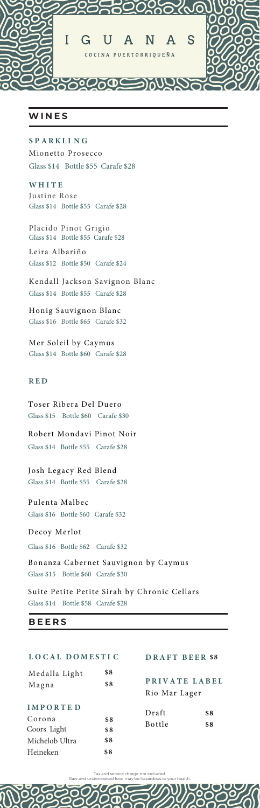

### **WINE S**

#### **4 1 " 3 , - \* / (**

Mionetto Prosecco Glass \$14 Bottle \$55 Carafe \$28

**8 ) \* 5 &** Justine Rose Glass \$14 Bottle \$55 Carafe \$28

Placido Pinot Grigio Glass \$14 Bottle \$55 Carafe \$28

Leira Albariño Glass \$12 Bottle \$50 Carafe \$24

Kendall Jackson Savignon Blanc Glass \$14 Bottle \$55 Carafe \$28

Honig Sauvignon Blanc Glass \$16 Bottle \$65 Carafe \$32

Mer Soleil by Caymus Glass \$14 Bottle \$60 Carafe \$28

#### **3 & %**

Toser Ribera Del Duero Glass \$15 Bottle \$60 Carafe \$30

Robert Mondavi Pinot Noir Glass \$14 Bottle \$55 Carafe \$28

Josh Legacy Red Blend Glass \$14 Bottle \$55 Carafe \$28

Pulenta Malbec Glass \$16 Bottle \$60 Carafe \$32

Decoy Merlot

Glass \$16 Bottle \$62 Carafe \$32

Bonanza Cabernet Sauvignon by Caymus Glass \$15 Bottle \$60 Carafe \$30

Suite Petite Petite Sirah by Chronic Cellars Glass \$14 Bottle \$58 Carafe \$28

#### **BEER S**

| LOCAL DOMESTIC                                                         |                          | DRAFT BEER \$8                 |            |  |
|------------------------------------------------------------------------|--------------------------|--------------------------------|------------|--|
| Medalla Light<br>Magna                                                 | \$8<br>\$8               | PRIVATE LABEL<br>Rio Mar Lager |            |  |
| <b>IMPORTED</b><br>Corona<br>Coors Light<br>Michelob Ultra<br>Heineken | \$8<br>\$8<br>\$8<br>\$8 | Draft<br><b>Bottle</b>         | \$8<br>\$8 |  |

Tax and service charge not included. Raw and undercooked food may be hazardous to your health.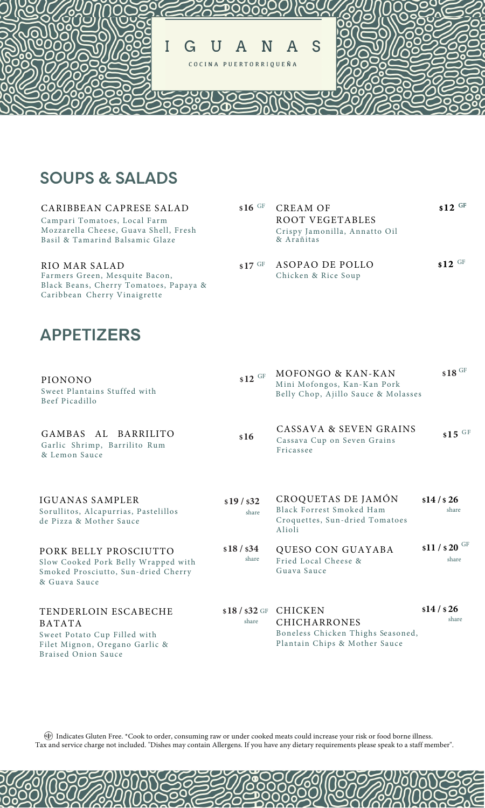

**16** GF

# **SOUPS & SALADS**

### CARIBBEAN CAPRESE SALAD

Campari Tomatoes, Local Farm Mozzarella Cheese, Guava Shell, Fresh Basil & Tamarind Balsamic Glaze

#### RIO MAR SALAD

Farmers Green, Mesquite Bacon, Black Beans, Cherry Tomatoes, Papaya & Caribbean Cherry Vinaigrette

#### **17** GF Crispy Jamonilla, Annatto Oil & Arañitas ASOPAO DE POLLO **\$12** GF

ROOT VEGETABLES

Chicken & Rice Soup

 $GF$  CREAM OF \$12  $GF$ 

**\$12**

# **- ERS**

| PIONONO                                        |  |
|------------------------------------------------|--|
| Sweet Plantains Stuffed with<br>Beef Picadillo |  |

GAMBAS AL BARRILITO Garlic Shrimp, Barrilito Rum & Lemon Sauce

## IGUANAS SAMPLER

Sorullitos, Alcapurrias, Pastelillos de Pizza & Mother Sauce

## PORK BELLY PROSCIUTTO

Slow Cooked Pork Belly Wrapped with Smoked Prosciutto, Sun-dried Cherry & Guava Sauce

### TENDERLOIN ESCABECHE BATATA Sweet Potato Cup Filled with

Filet Mignon, Oregano Garlic & Braised Onion Sauce

- **12** GF **18** GF MOFONGO & KAN-KAN Mini Mofongos, Kan-Kan Pork Belly Chop, Ajillo Sauce & Molasses
- **16** CASSAVA & SEVEN GRAINS Cassava Cup on Seven Grains Fricassee  $$15$   $^{\text{GF}}$
- **19 / \$32 \$14 / \$ 26** share share CROQUETAS DE JAMÓN Black Forrest Smoked Ham Croquettes, Sun-dried Tomatoes Alioli
- **18 / \$34 \$11 / \$ 20** GF share share QUESO CON GUAYABA Fried Local Cheese & Guava Sauce
- $$18$  /  $$32$  GF CHICKEN **\$14 / \$ 26** share share CHICHARRONES Boneless Chicken Thighs Seasoned, Plantain Chips & Mother Sauce

Indicates Gluten Free. \*Cook to order, consuming raw or under cooked meats could increase your risk or food borne illness. Tax and service charge not included. "Dishes may contain Allergens. If you have any dietary requirements please speak to a staff member".